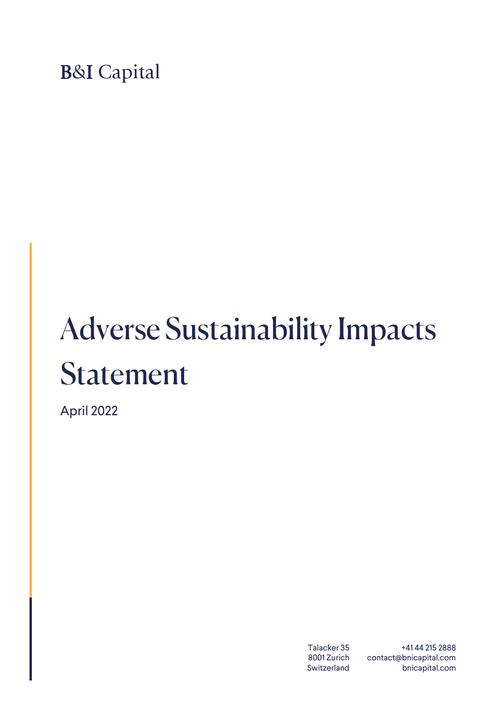B&I Capital

## Adverse Sustainability Impacts Statement

April 2022

Talacker 35 8001 Zurich Switzerland

+41 44 215 2888 contact@bnicapital.com bnicapital.com